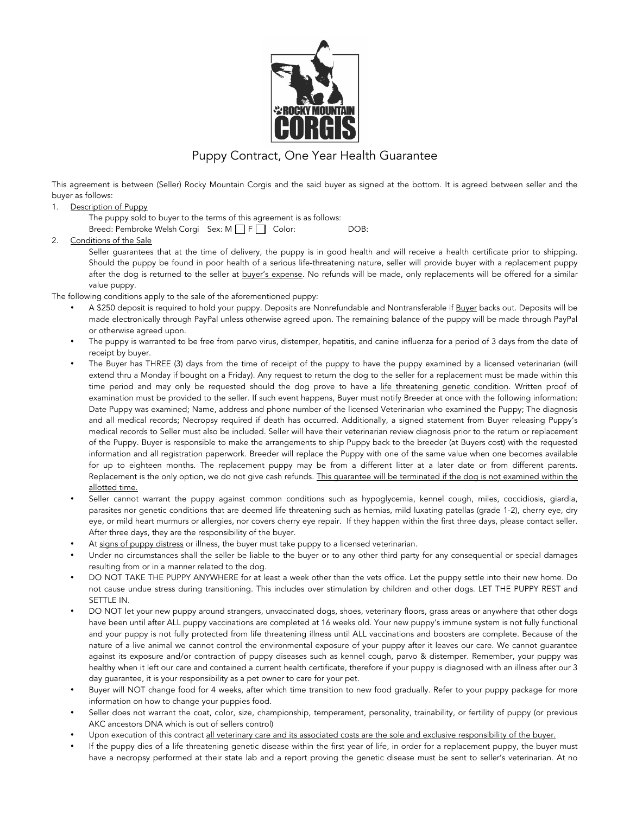

## Puppy Contract, One Year Health Guarantee

This agreement is between (Seller) Rocky Mountain Corgis and the said buyer as signed at the bottom. It is agreed between seller and the buyer as follows:

1. Description of Puppy

The puppy sold to buyer to the terms of this agreement is as follows: Breed: Pembroke Welsh Corgi Sex: M F F Color: DOB:

2. Conditions of the Sale

Seller guarantees that at the time of delivery, the puppy is in good health and will receive a health certificate prior to shipping. Should the puppy be found in poor health of a serious life-threatening nature, seller will provide buyer with a replacement puppy after the dog is returned to the seller at buyer's expense. No refunds will be made, only replacements will be offered for a similar value puppy.

The following conditions apply to the sale of the aforementioned puppy:

- A \$250 deposit is required to hold your puppy. Deposits are Nonrefundable and Nontransferable if Buyer backs out. Deposits will be made electronically through PayPal unless otherwise agreed upon. The remaining balance of the puppy will be made through PayPal or otherwise agreed upon.
- The puppy is warranted to be free from parvo virus, distemper, hepatitis, and canine influenza for a period of 3 days from the date of receipt by buyer.
- The Buyer has THREE (3) days from the time of receipt of the puppy to have the puppy examined by a licensed veterinarian (will extend thru a Monday if bought on a Friday). Any request to return the dog to the seller for a replacement must be made within this time period and may only be requested should the dog prove to have a life threatening genetic condition. Written proof of examination must be provided to the seller. If such event happens, Buyer must notify Breeder at once with the following information: Date Puppy was examined; Name, address and phone number of the licensed Veterinarian who examined the Puppy; The diagnosis and all medical records; Necropsy required if death has occurred. Additionally, a signed statement from Buyer releasing Puppy's medical records to Seller must also be included. Seller will have their veterinarian review diagnosis prior to the return or replacement of the Puppy. Buyer is responsible to make the arrangements to ship Puppy back to the breeder (at Buyers cost) with the requested information and all registration paperwork. Breeder will replace the Puppy with one of the same value when one becomes available for up to eighteen months. The replacement puppy may be from a different litter at a later date or from different parents. Replacement is the only option, we do not give cash refunds. This guarantee will be terminated if the dog is not examined within the allotted time.
- Seller cannot warrant the puppy against common conditions such as hypoglycemia, kennel cough, miles, coccidiosis, giardia, parasites nor genetic conditions that are deemed life threatening such as hernias, mild luxating patellas (grade 1-2), cherry eye, dry eye, or mild heart murmurs or allergies, nor covers cherry eye repair. If they happen within the first three days, please contact seller. After three days, they are the responsibility of the buyer.
- At signs of puppy distress or illness, the buyer must take puppy to a licensed veterinarian.
- Under no circumstances shall the seller be liable to the buyer or to any other third party for any consequential or special damages resulting from or in a manner related to the dog.
- DO NOT TAKE THE PUPPY ANYWHERE for at least a week other than the vets office. Let the puppy settle into their new home. Do not cause undue stress during transitioning. This includes over stimulation by children and other dogs. LET THE PUPPY REST and SETTLE IN.
- DO NOT let your new puppy around strangers, unvaccinated dogs, shoes, veterinary floors, grass areas or anywhere that other dogs have been until after ALL puppy vaccinations are completed at 16 weeks old. Your new puppy's immune system is not fully functional and your puppy is not fully protected from life threatening illness until ALL vaccinations and boosters are complete. Because of the nature of a live animal we cannot control the environmental exposure of your puppy after it leaves our care. We cannot guarantee against its exposure and/or contraction of puppy diseases such as kennel cough, parvo & distemper. Remember, your puppy was healthy when it left our care and contained a current health certificate, therefore if your puppy is diagnosed with an illness after our 3 day guarantee, it is your responsibility as a pet owner to care for your pet.
- Buyer will NOT change food for 4 weeks, after which time transition to new food gradually. Refer to your puppy package for more information on how to change your puppies food.
- Seller does not warrant the coat, color, size, championship, temperament, personality, trainability, or fertility of puppy (or previous AKC ancestors DNA which is out of sellers control)
- Upon execution of this contract all veterinary care and its associated costs are the sole and exclusive responsibility of the buyer.
- If the puppy dies of a life threatening genetic disease within the first year of life, in order for a replacement puppy, the buyer must have a necropsy performed at their state lab and a report proving the genetic disease must be sent to seller's veterinarian. At no